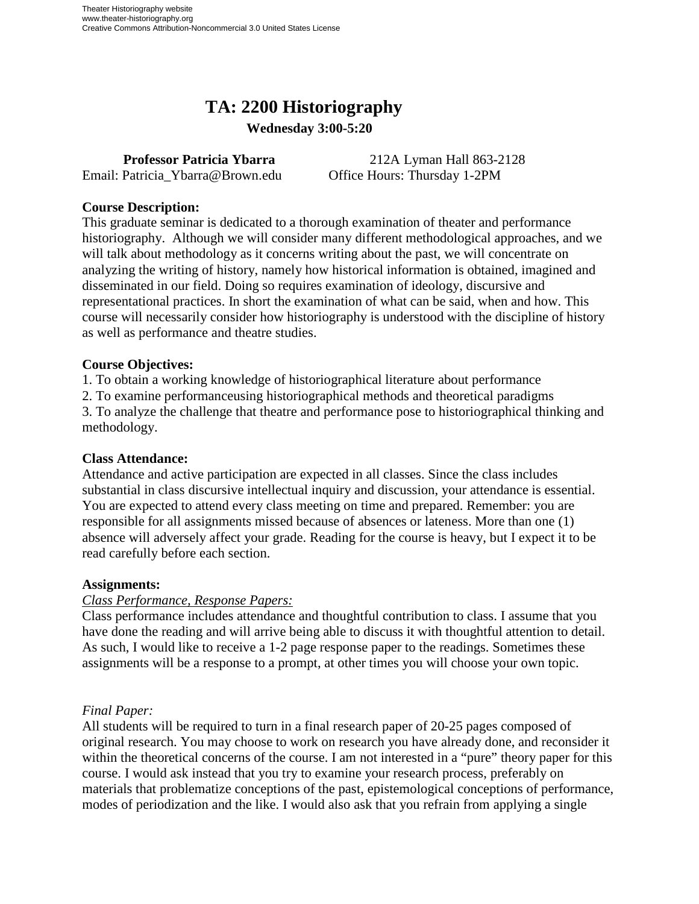# **TA: 2200 Historiography**

**Wednesday 3:00-5:20** 

Email: Patricia\_Ybarra@Brown.edu Office Hours: Thursday 1-2PM

**Professor Patricia Ybarra** 212A Lyman Hall 863-2128

## **Course Description:**

This graduate seminar is dedicated to a thorough examination of theater and performance historiography. Although we will consider many different methodological approaches, and we will talk about methodology as it concerns writing about the past, we will concentrate on analyzing the writing of history, namely how historical information is obtained, imagined and disseminated in our field. Doing so requires examination of ideology, discursive and representational practices. In short the examination of what can be said, when and how. This course will necessarily consider how historiography is understood with the discipline of history as well as performance and theatre studies.

## **Course Objectives:**

1. To obtain a working knowledge of historiographical literature about performance

2. To examine performanceusing historiographical methods and theoretical paradigms 3. To analyze the challenge that theatre and performance pose to historiographical thinking and methodology.

## **Class Attendance:**

Attendance and active participation are expected in all classes. Since the class includes substantial in class discursive intellectual inquiry and discussion, your attendance is essential. You are expected to attend every class meeting on time and prepared. Remember: you are responsible for all assignments missed because of absences or lateness. More than one (1) absence will adversely affect your grade. Reading for the course is heavy, but I expect it to be read carefully before each section.

## **Assignments:**

## *Class Performance, Response Papers:*

Class performance includes attendance and thoughtful contribution to class. I assume that you have done the reading and will arrive being able to discuss it with thoughtful attention to detail. As such, I would like to receive a 1-2 page response paper to the readings. Sometimes these assignments will be a response to a prompt, at other times you will choose your own topic.

## *Final Paper:*

All students will be required to turn in a final research paper of 20-25 pages composed of original research. You may choose to work on research you have already done, and reconsider it within the theoretical concerns of the course. I am not interested in a "pure" theory paper for this course. I would ask instead that you try to examine your research process, preferably on materials that problematize conceptions of the past, epistemological conceptions of performance, modes of periodization and the like. I would also ask that you refrain from applying a single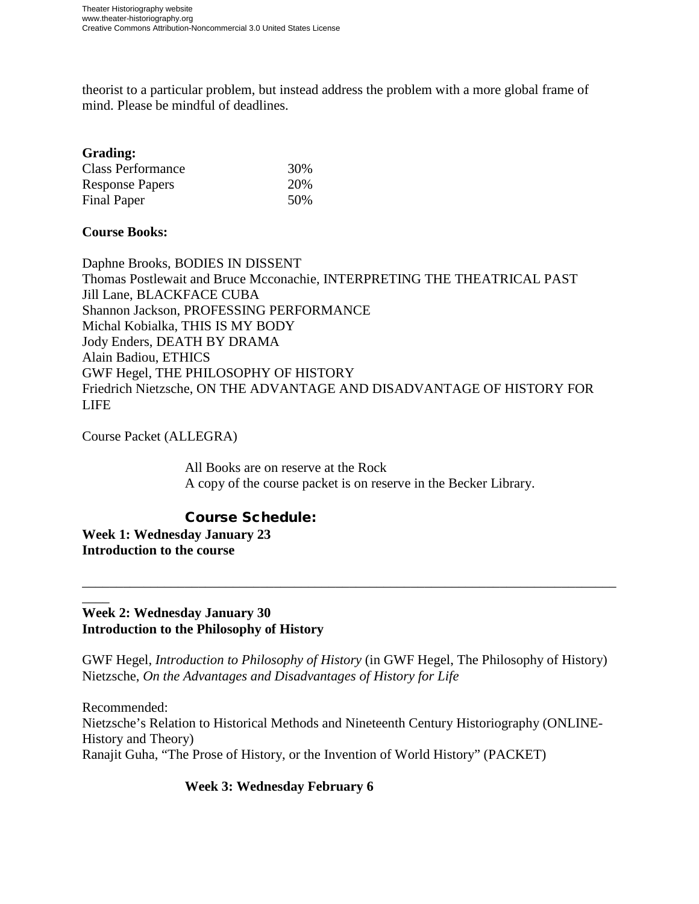theorist to a particular problem, but instead address the problem with a more global frame of mind. Please be mindful of deadlines.

#### **Grading:**

| <b>Class Performance</b> | 30% |
|--------------------------|-----|
| <b>Response Papers</b>   | 20% |
| Final Paper              | 50% |

## **Course Books:**

Daphne Brooks, BODIES IN DISSENT Thomas Postlewait and Bruce Mcconachie, INTERPRETING THE THEATRICAL PAST Jill Lane, BLACKFACE CUBA Shannon Jackson, PROFESSING PERFORMANCE Michal Kobialka, THIS IS MY BODY Jody Enders, DEATH BY DRAMA Alain Badiou, ETHICS GWF Hegel, THE PHILOSOPHY OF HISTORY Friedrich Nietzsche, ON THE ADVANTAGE AND DISADVANTAGE OF HISTORY FOR LIFE

Course Packet (ALLEGRA)

All Books are on reserve at the Rock A copy of the course packet is on reserve in the Becker Library.

## Course Schedule:

**Week 1: Wednesday January 23 Introduction to the course**

#### $\overline{\phantom{a}}$ **Week 2: Wednesday January 30 Introduction to the Philosophy of History**

GWF Hegel, *Introduction to Philosophy of History* (in GWF Hegel, The Philosophy of History) Nietzsche, *On the Advantages and Disadvantages of History for Life*

\_\_\_\_\_\_\_\_\_\_\_\_\_\_\_\_\_\_\_\_\_\_\_\_\_\_\_\_\_\_\_\_\_\_\_\_\_\_\_\_\_\_\_\_\_\_\_\_\_\_\_\_\_\_\_\_\_\_\_\_\_\_\_\_\_\_\_\_\_\_\_\_\_\_\_\_\_\_

Recommended: Nietzsche's Relation to Historical Methods and Nineteenth Century Historiography (ONLINE-History and Theory) Ranajit Guha, "The Prose of History, or the Invention of World History" (PACKET)

## **Week 3: Wednesday February 6**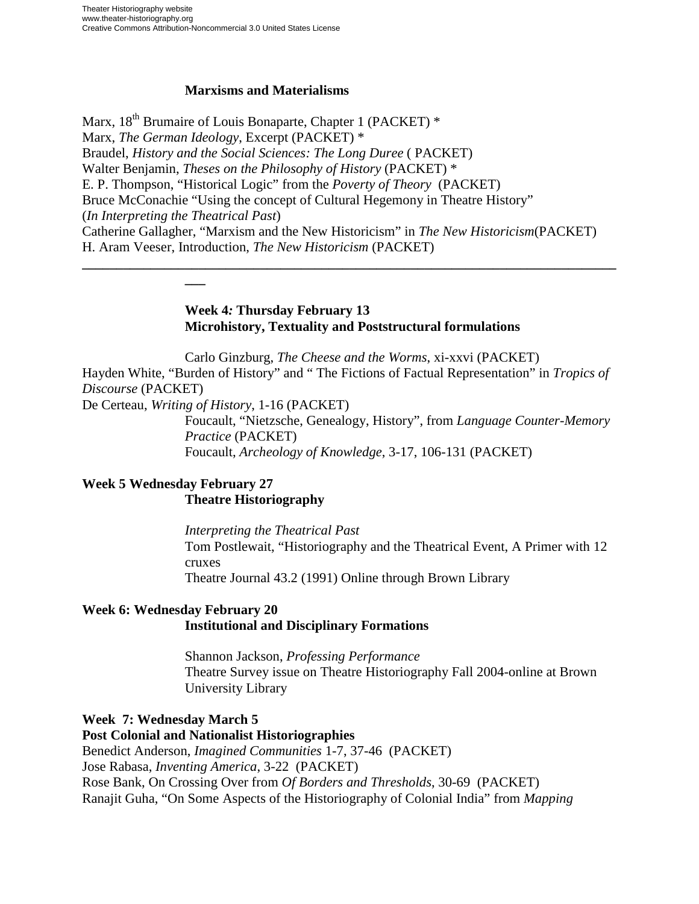## **Marxisms and Materialisms**

Marx,  $18<sup>th</sup>$  Brumaire of Louis Bonaparte, Chapter 1 (PACKET)  $*$ Marx, *The German Ideology*, Excerpt (PACKET) \* Braudel, *History and the Social Sciences: The Long Duree* ( PACKET) Walter Benjamin, *Theses on the Philosophy of History* (PACKET) \* E. P. Thompson, "Historical Logic" from the *Poverty of Theory* (PACKET) Bruce McConachie "Using the concept of Cultural Hegemony in Theatre History" (*In Interpreting the Theatrical Past*) Catherine Gallagher, "Marxism and the New Historicism" in *The New Historicism*(PACKET) H. Aram Veeser, Introduction, *The New Historicism* (PACKET) **\_\_\_\_\_\_\_\_\_\_\_\_\_\_\_\_\_\_\_\_\_\_\_\_\_\_\_\_\_\_\_\_\_\_\_\_\_\_\_\_\_\_\_\_\_\_\_\_\_\_\_\_\_\_\_\_\_\_\_\_\_\_\_\_\_\_\_\_\_\_\_\_\_\_\_\_\_\_**

#### **Week 4***:* **Thursday February 13 Microhistory, Textuality and Poststructural formulations**

Carlo Ginzburg, *The Cheese and the Worms*, xi-xxvi (PACKET) Hayden White, "Burden of History" and " The Fictions of Factual Representation" in *Tropics of Discourse* (PACKET)

De Certeau, *Writing of History*, 1-16 (PACKET)

**\_\_\_** 

Foucault, "Nietzsche, Genealogy, History", from *Language Counter-Memory Practice* (PACKET) Foucault, *Archeology of Knowledge*, 3-17, 106-131 (PACKET)

## **Week 5 Wednesday February 27 Theatre Historiography**

*Interpreting the Theatrical Past*  Tom Postlewait, "Historiography and the Theatrical Event, A Primer with 12 cruxes Theatre Journal 43.2 (1991) Online through Brown Library

## **Week 6: Wednesday February 20 Institutional and Disciplinary Formations**

Shannon Jackson, *Professing Performance* Theatre Survey issue on Theatre Historiography Fall 2004-online at Brown University Library

## **Week 7: Wednesday March 5**

**Post Colonial and Nationalist Historiographies**  Benedict Anderson, *Imagined Communities* 1-7, 37-46 (PACKET) Jose Rabasa, *Inventing America*, 3-22 (PACKET) Rose Bank, On Crossing Over from *Of Borders and Thresholds*, 30-69 (PACKET) Ranajit Guha, "On Some Aspects of the Historiography of Colonial India" from *Mapping*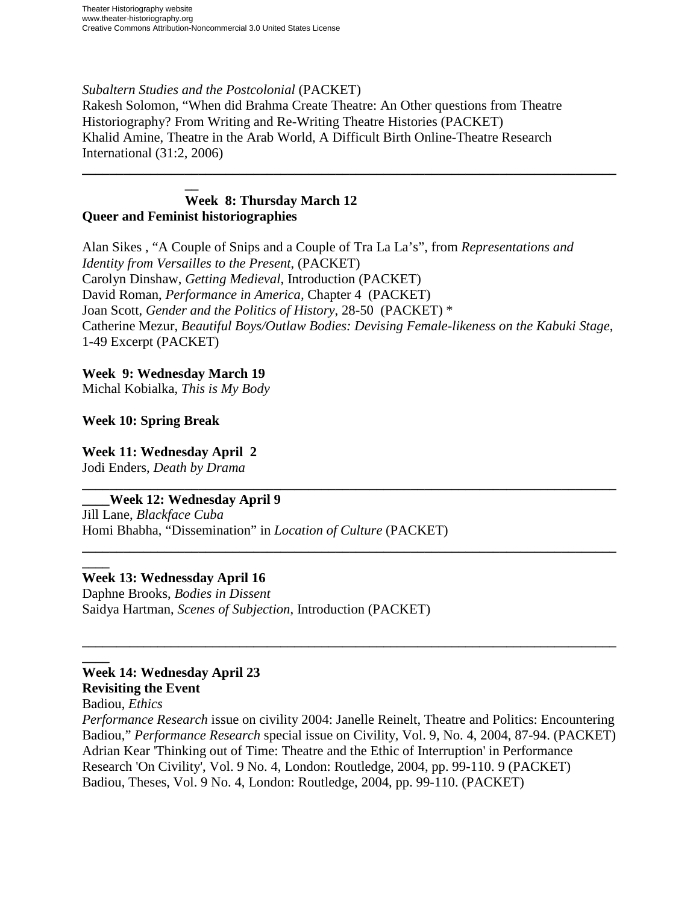#### *Subaltern Studies and the Postcolonial* (PACKET)

Rakesh Solomon, "When did Brahma Create Theatre: An Other questions from Theatre Historiography? From Writing and Re-Writing Theatre Histories (PACKET) Khalid Amine, Theatre in the Arab World, A Difficult Birth Online-Theatre Research International (31:2, 2006)

#### **\_\_ Week 8: Thursday March 12 Queer and Feminist historiographies**

Alan Sikes , "A Couple of Snips and a Couple of Tra La La's", from *Representations and Identity from Versailles to the Present*, (PACKET) Carolyn Dinshaw, *Getting Medieval*, Introduction (PACKET) David Roman, *Performance in America,* Chapter 4 (PACKET) Joan Scott, *Gender and the Politics of History*, 28-50 (PACKET) \* Catherine Mezur, *Beautiful Boys/Outlaw Bodies: Devising Female-likeness on the Kabuki Stage*, 1-49 Excerpt (PACKET)

**\_\_\_\_\_\_\_\_\_\_\_\_\_\_\_\_\_\_\_\_\_\_\_\_\_\_\_\_\_\_\_\_\_\_\_\_\_\_\_\_\_\_\_\_\_\_\_\_\_\_\_\_\_\_\_\_\_\_\_\_\_\_\_\_\_\_\_\_\_\_\_\_\_\_\_\_\_\_**

## **Week 9: Wednesday March 19**

Michal Kobialka, *This is My Body*

#### **Week 10: Spring Break**

# **Week 11: Wednesday April 2**

Jodi Enders, *Death by Drama* **\_\_\_\_\_\_\_\_\_\_\_\_\_\_\_\_\_\_\_\_\_\_\_\_\_\_\_\_\_\_\_\_\_\_\_\_\_\_\_\_\_\_\_\_\_\_\_\_\_\_\_\_\_\_\_\_\_\_\_\_\_\_\_\_\_\_\_\_\_\_\_\_\_\_\_\_\_\_**

## **\_\_\_\_Week 12: Wednesday April 9**

Jill Lane, *Blackface Cuba* Homi Bhabha, "Dissemination" in *Location of Culture* (PACKET)

#### **\_\_\_\_ Week 13: Wednessday April 16**

Daphne Brooks, *Bodies in Dissent* Saidya Hartman, *Scenes of Subjection*, Introduction (PACKET)

#### **\_\_\_\_ Week 14: Wednesday April 23 Revisiting the Event**

Badiou, *Ethics*

*Performance Research* issue on civility 2004: Janelle Reinelt, Theatre and Politics: Encountering Badiou," *Performance Research* special issue on Civility, Vol. 9, No. 4, 2004, 87-94. (PACKET) Adrian Kear 'Thinking out of Time: Theatre and the Ethic of Interruption' in Performance Research 'On Civility', Vol. 9 No. 4, London: Routledge, 2004, pp. 99-110. 9 (PACKET) Badiou, Theses, Vol. 9 No. 4, London: Routledge, 2004, pp. 99-110. (PACKET)

**\_\_\_\_\_\_\_\_\_\_\_\_\_\_\_\_\_\_\_\_\_\_\_\_\_\_\_\_\_\_\_\_\_\_\_\_\_\_\_\_\_\_\_\_\_\_\_\_\_\_\_\_\_\_\_\_\_\_\_\_\_\_\_\_\_\_\_\_\_\_\_\_\_\_\_\_\_\_**

**\_\_\_\_\_\_\_\_\_\_\_\_\_\_\_\_\_\_\_\_\_\_\_\_\_\_\_\_\_\_\_\_\_\_\_\_\_\_\_\_\_\_\_\_\_\_\_\_\_\_\_\_\_\_\_\_\_\_\_\_\_\_\_\_\_\_\_\_\_\_\_\_\_\_\_\_\_\_**